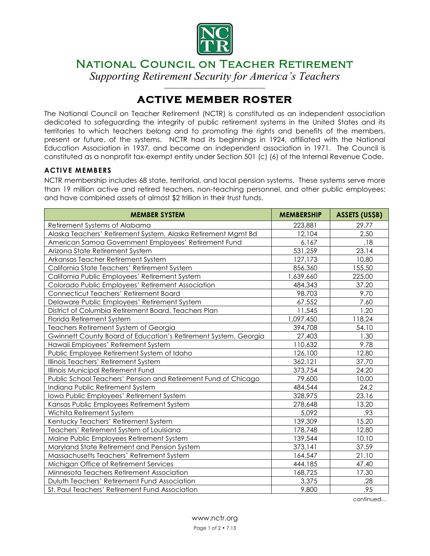

# National Council on Teacher Retirement

*Supporting Retirement Security for America's Teachers*  $\overline{a}$ 

# **ACTIVE MEMBER ROSTER**

The National Council on Teacher Retirement (NCTR) is constituted as an independent association dedicated to safeguarding the integrity of public retirement systems in the United States and its territories to which teachers belong and to promoting the rights and benefits of the members, present or future, of the systems. NCTR had its beginnings in 1924, affiliated with the National Education Association in 1937, and became an independent association in 1971. The Council is constituted as a nonprofit tax-exempt entity under Section 501 (c) (6) of the Internal Revenue Code.

#### **ACTIVE MEMBERS**

NCTR membership includes 68 state, territorial, and local pension systems. These systems serve more than 19 million active and retired teachers, non-teaching personnel, and other public employees; and have combined assets of almost \$2 trillion in their trust funds.

| <b>MEMBER SYSTEM</b>                                            | <b>MEMBERSHIP</b> | <b>ASSETS (US\$B)</b> |
|-----------------------------------------------------------------|-------------------|-----------------------|
| Retirement Systems of Alabama                                   | 223,881           | 29.77                 |
| Alaska Teachers' Retirement System, Alaska Retirement Mgmt Bd   | 12,104            | 2.50                  |
| American Samoa Government Employees' Retirement Fund            | 6,167             | .18                   |
| Arizona State Retirement System                                 | 531,259           | 23.14                 |
| Arkansas Teacher Retirement System                              | 127,173           | 10.80                 |
| California State Teachers' Retirement System                    | 856,360           | 155.50                |
| California Public Employees' Retirement System                  | 1,639,660         | 225.00                |
| Colorado Public Employees' Retirement Association               | 484,343           | 37.20                 |
| Connecticut Teachers' Retirement Board                          | 98,703            | 9.70                  |
| Delaware Public Employees' Retirement System                    | 67,552            | 7.60                  |
| District of Columbia Retirement Board, Teachers Plan            | 11,545            | 1.20                  |
| Florida Retirement System                                       | 1,097,450         | 118.24                |
| Teachers Retirement System of Georgia                           | 394,708           | 54.10                 |
| Gwinnett County Board of Education's Retirement System, Georgia | 27,403            | 1.30                  |
| Hawaii Employees' Retirement System                             | 110,632           | 9.78                  |
| Public Employee Retirement System of Idaho                      | 126,100           | 12.80                 |
| Illinois Teachers' Retirement System                            | 362,121           | 37.70                 |
| Illinois Municipal Retirement Fund                              | 373,754           | 24.20                 |
| Public School Teachers' Pension and Retirement Fund of Chicago  | 79,600            | 10.00                 |
| Indiana Public Retirement System                                | 484,544           | 24.2                  |
| Iowa Public Employees' Retirement System                        | 328,975           | 23.16                 |
| Kansas Public Employees Retirement System                       | 278,648           | 13.20                 |
| Wichita Retirement System                                       | 5,092             | .93                   |
| Kentucky Teachers' Retirement System                            | 139,309           | 15.20                 |
| Teachers' Retirement System of Louisiana                        | 178,748           | 12.80                 |
| Maine Public Employees Retirement System                        | 139,544           | 10.10                 |
| Maryland State Retirement and Pension System                    | 373,141           | 37.59                 |
| Massachusetts Teachers' Retirement System                       | 164,547           | 21.10                 |
| Michigan Office of Retirement Services                          | 444,185           | 47.40                 |
| Minnesota Teachers Retirement Association                       | 168,725           | 17.30                 |
| Duluth Teachers' Retirement Fund Association                    | 3,375             | .28                   |
| St. Paul Teachers' Retirement Fund Association                  | 9,800             | .95                   |

continued…